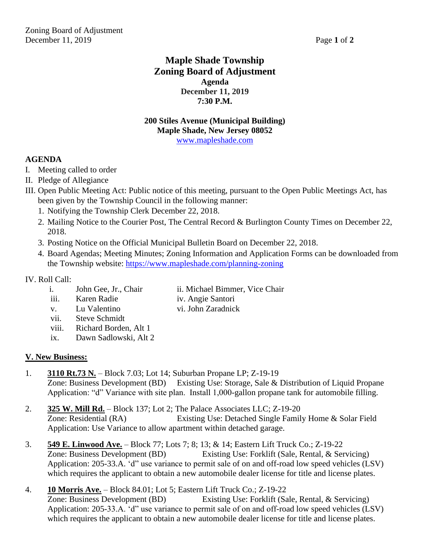# **Maple Shade Township Zoning Board of Adjustment Agenda December 11, 2019 7:30 P.M.**

#### **200 Stiles Avenue (Municipal Building) Maple Shade, New Jersey 08052** [www.mapleshade.com](http://www.mapleshade.com/)

# **AGENDA**

- I. Meeting called to order
- II. Pledge of Allegiance
- III. Open Public Meeting Act: Public notice of this meeting, pursuant to the Open Public Meetings Act, has been given by the Township Council in the following manner:
	- 1. Notifying the Township Clerk December 22, 2018.
	- 2. Mailing Notice to the Courier Post, The Central Record & Burlington County Times on December 22, 2018.
	- 3. Posting Notice on the Official Municipal Bulletin Board on December 22, 2018.
	- 4. Board Agendas; Meeting Minutes; Zoning Information and Application Forms can be downloaded from the Township website:<https://www.mapleshade.com/planning-zoning>

# IV. Roll Call:

- i. John Gee, Jr., Chair ii. Michael Bimmer, Vice Chair
- iii. Karen Radie iv. Angie Santori
	-
- v. Lu Valentino vi. John Zaradnick
	- vii. Steve Schmidt
	- viii. Richard Borden, Alt 1
	- ix. Dawn Sadlowski, Alt 2

# **V. New Business:**

- 1. **3110 Rt.73 N.** Block 7.03; Lot 14; Suburban Propane LP; Z-19-19 Zone: Business Development (BD) Existing Use: Storage, Sale & Distribution of Liquid Propane Application: "d" Variance with site plan. Install 1,000-gallon propane tank for automobile filling.
- 2. **325 W. Mill Rd.** Block 137; Lot 2; The Palace Associates LLC; Z-19-20 Zone: Residential (RA) Existing Use: Detached Single Family Home & Solar Field Application: Use Variance to allow apartment within detached garage.
- 3. **549 E. Linwood Ave.** Block 77; Lots 7; 8; 13; & 14; Eastern Lift Truck Co.; Z-19-22 Zone: Business Development (BD) Existing Use: Forklift (Sale, Rental, & Servicing) Application: 205-33.A. 'd" use variance to permit sale of on and off-road low speed vehicles (LSV) which requires the applicant to obtain a new automobile dealer license for title and license plates.
- 4. **10 Morris Ave.** Block 84.01; Lot 5; Eastern Lift Truck Co.; Z-19-22

Zone: Business Development (BD) Existing Use: Forklift (Sale, Rental, & Servicing) Application: 205-33.A. 'd" use variance to permit sale of on and off-road low speed vehicles (LSV) which requires the applicant to obtain a new automobile dealer license for title and license plates.